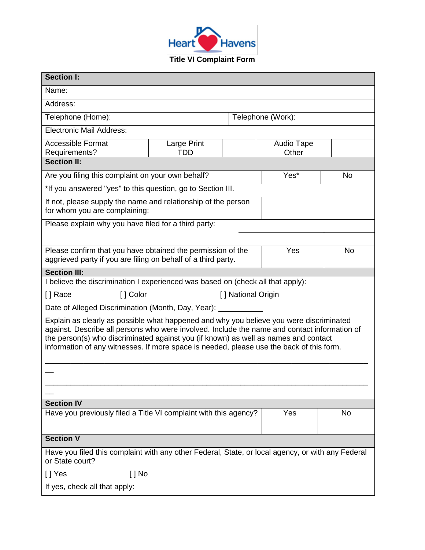

| <b>Section I:</b>                                                                                                                                                                                                                                                                                                                                                          |             |                   |            |    |  |
|----------------------------------------------------------------------------------------------------------------------------------------------------------------------------------------------------------------------------------------------------------------------------------------------------------------------------------------------------------------------------|-------------|-------------------|------------|----|--|
| Name:                                                                                                                                                                                                                                                                                                                                                                      |             |                   |            |    |  |
| Address:                                                                                                                                                                                                                                                                                                                                                                   |             |                   |            |    |  |
| Telephone (Home):                                                                                                                                                                                                                                                                                                                                                          |             | Telephone (Work): |            |    |  |
| <b>Electronic Mail Address:</b>                                                                                                                                                                                                                                                                                                                                            |             |                   |            |    |  |
| <b>Accessible Format</b>                                                                                                                                                                                                                                                                                                                                                   | Large Print |                   | Audio Tape |    |  |
| Requirements?<br><b>Section II:</b>                                                                                                                                                                                                                                                                                                                                        | <b>TDD</b>  |                   | Other      |    |  |
| Yes*<br>Are you filing this complaint on your own behalf?<br>No                                                                                                                                                                                                                                                                                                            |             |                   |            |    |  |
| *If you answered "yes" to this question, go to Section III.                                                                                                                                                                                                                                                                                                                |             |                   |            |    |  |
|                                                                                                                                                                                                                                                                                                                                                                            |             |                   |            |    |  |
| If not, please supply the name and relationship of the person<br>for whom you are complaining:                                                                                                                                                                                                                                                                             |             |                   |            |    |  |
| Please explain why you have filed for a third party:                                                                                                                                                                                                                                                                                                                       |             |                   |            |    |  |
|                                                                                                                                                                                                                                                                                                                                                                            |             |                   |            |    |  |
| Please confirm that you have obtained the permission of the<br>aggrieved party if you are filing on behalf of a third party.                                                                                                                                                                                                                                               |             |                   | Yes        | No |  |
| <b>Section III:</b>                                                                                                                                                                                                                                                                                                                                                        |             |                   |            |    |  |
| I believe the discrimination I experienced was based on (check all that apply):                                                                                                                                                                                                                                                                                            |             |                   |            |    |  |
| [ ] Color<br>[] Race<br>[] National Origin                                                                                                                                                                                                                                                                                                                                 |             |                   |            |    |  |
| Date of Alleged Discrimination (Month, Day, Year): _                                                                                                                                                                                                                                                                                                                       |             |                   |            |    |  |
| Explain as clearly as possible what happened and why you believe you were discriminated<br>against. Describe all persons who were involved. Include the name and contact information of<br>the person(s) who discriminated against you (if known) as well as names and contact<br>information of any witnesses. If more space is needed, please use the back of this form. |             |                   |            |    |  |
|                                                                                                                                                                                                                                                                                                                                                                            |             |                   |            |    |  |
|                                                                                                                                                                                                                                                                                                                                                                            |             |                   |            |    |  |
|                                                                                                                                                                                                                                                                                                                                                                            |             |                   |            |    |  |
| <b>Section IV</b><br>Have you previously filed a Title VI complaint with this agency?<br>Yes<br>No                                                                                                                                                                                                                                                                         |             |                   |            |    |  |
|                                                                                                                                                                                                                                                                                                                                                                            |             |                   |            |    |  |
| <b>Section V</b>                                                                                                                                                                                                                                                                                                                                                           |             |                   |            |    |  |
| Have you filed this complaint with any other Federal, State, or local agency, or with any Federal<br>or State court?                                                                                                                                                                                                                                                       |             |                   |            |    |  |
| [ ] Yes<br>[ ] No                                                                                                                                                                                                                                                                                                                                                          |             |                   |            |    |  |
| If yes, check all that apply:                                                                                                                                                                                                                                                                                                                                              |             |                   |            |    |  |